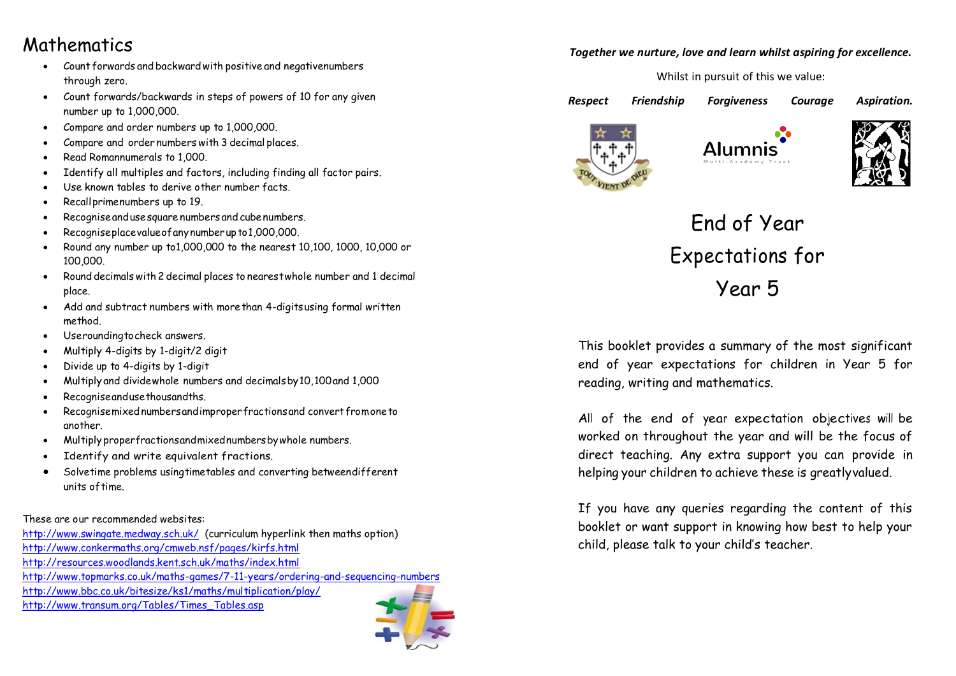### Mathematics

- Count forwards and backward with positive and negative numbers through zero.
- Count forwards/backwards in steps of powers of 10 for any given number up to 1,000,000.
- Compare and order numbers up to 1,000,000.
- Compare and order numbers with 3 decimal places.
- Read Romannumerals to 1,000.
- Identify all multiples and factors, including finding all factor pairs.
- Use known tables to derive other number facts.
- Recall primenumbers up to 19.
- Recogniseandusesquare numbers and cubenumbers.
- Recogniseplacevalueofanynumberup to1,000,000.
- Round any number up to1,000,000 to the nearest 10,100, 1000, 10,000 or 100,000.
- Round decimals with 2 decimal places to nearestwhole number and 1 decimal place.
- Add and subtract numbers with morethan 4-digitsusing formal written method.
- Useroundingtocheck answers.
- Multiply 4-digits by 1-digit/2 digit
- Divide up to 4-digits by 1-digit
- Multiply and dividewhole numbers and decimalsby10,100and 1,000
- Recogniseandusethousandths.
- Recognisemixed numbers and improper fractions and convert from one to another.
- Multiply properfractionsandmixednumbersbywhole numbers.
- Identify and write equivalent fractions.
- Solvetime problems usingtimetables and converting betweendifferent units of time.

#### These are our recommended websites:

<http://www.swingate.medway.sch.uk/>(curriculum hyperlink then maths option) <http://www.conkermaths.org/cmweb.nsf/pages/kirfs.html> <http://resources.woodlands.kent.sch.uk/maths/index.html> <http://www.topmarks.co.uk/maths-games/7-11-years/ordering-and-sequencing-numbers> <http://www.bbc.co.uk/bitesize/ks1/maths/multiplication/play/> [http://www.transum.org/Tables/Times\\_Tables.asp](http://www.transum.org/Tables/Times_Tables.asp)



Whilst in pursuit of this we value:

*Respect Friendship Forgiveness Courage Aspiration.* 







# End of Year Expectations for Year 5

This booklet provides a summary of the most significant end of year expectations for children in Year 5 for reading, writing and mathematics.

All of the end of year expectation objectives will be worked on throughout the year and will be the focus of direct teaching. Any extra support you can provide in helping your children to achieve these is greatlyvalued.

If you have any queries regarding the content of this booklet or want support in knowing how best to help your child, please talk to your child's teacher.